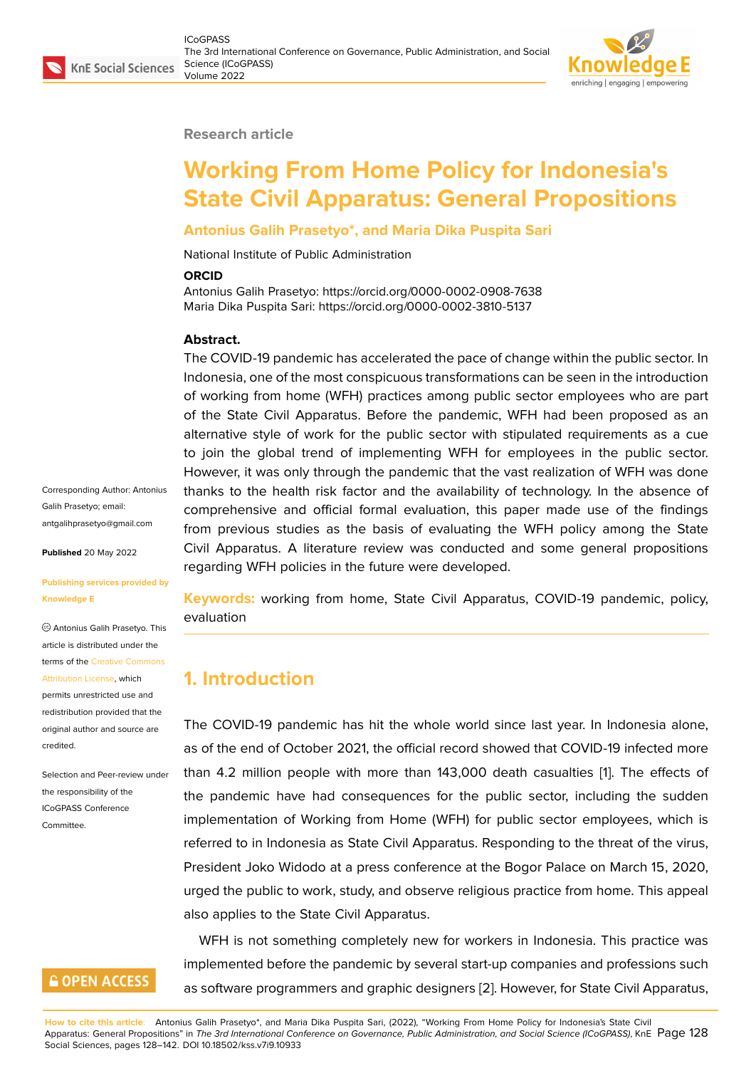#### **Research article**

# **Working From Home Policy for Indonesia's State Civil Apparatus: General Propositions**

### **Antonius Galih Prasetyo\*, and Maria Dika Puspita Sari**

National Institute of Public Administration

#### **ORCID**

Antonius Galih Prasetyo: https://orcid.org/0000-0002-0908-7638 Maria Dika Puspita Sari: https://orcid.org/0000-0002-3810-5137

#### **Abstract.**

The COVID-19 pandemic has accelerated the pace of change within the public sector. In Indonesia, one of the most conspicuous transformations can be seen in the introduction of working from home (WFH) practices among public sector employees who are part of the State Civil Apparatus. Before the pandemic, WFH had been proposed as an alternative style of work for the public sector with stipulated requirements as a cue to join the global trend of implementing WFH for employees in the public sector. However, it was only through the pandemic that the vast realization of WFH was done thanks to the health risk factor and the availability of technology. In the absence of comprehensive and official formal evaluation, this paper made use of the findings from previous studies as the basis of evaluating the WFH policy among the State Civil Apparatus. A literature review was conducted and some general propositions regarding WFH policies in the future were developed.

Corresponding Author: Antonius Galih Prasetyo; email: antgalihprasetyo@gmail.com

**Published** 20 May 2022

#### **[Publishing services provided](mailto:antgalihprasetyo@gmail.com) by Knowledge E**

Antonius Galih Prasetyo. This article is distributed under the terms of the Creative Commons Attribution License, which permits unrestricted use and

redistribution provided that the original auth[or and source are](https://creativecommons.org/licenses/by/4.0/) [credited.](https://creativecommons.org/licenses/by/4.0/)

Selection and Peer-review under the responsibility of the ICoGPASS Conference **Committee** 

# **GOPEN ACCESS**

**Keywords:** working from home, State Civil Apparatus, COVID-19 pandemic, policy, evaluation

# **1. Introduction**

The COVID-19 pandemic has hit the whole world since last year. In Indonesia alone, as of the end of October 2021, the official record showed that COVID-19 infected more than 4.2 million people with more than 143,000 death casualties [1]. The effects of the pandemic have had consequences for the public sector, including the sudden implementation of Working from Home (WFH) for public sector employees, which is referred to in Indonesia as State Civil Apparatus. Responding to the t[h](#page-12-0)reat of the virus, President Joko Widodo at a press conference at the Bogor Palace on March 15, 2020, urged the public to work, study, and observe religious practice from home. This appeal also applies to the State Civil Apparatus.

WFH is not something completely new for workers in Indonesia. This practice was implemented before the pandemic by several start-up companies and professions such as software programmers and graphic designers [2]. However, for State Civil Apparatus,

**How to cite this article**: Antonius Galih Prasetyo\*, and Maria Dika Puspita Sari, (2022), "Working From Home Policy for Indonesia's State Civil Apparatus: General Propositions" in *The 3rd International Conference on Governance, Public Administration, and Social Science (ICoGPASS)*, KnE Page 128 Social Sciences, pages 128–142. DOI 10.18502/kss.v7i9.10933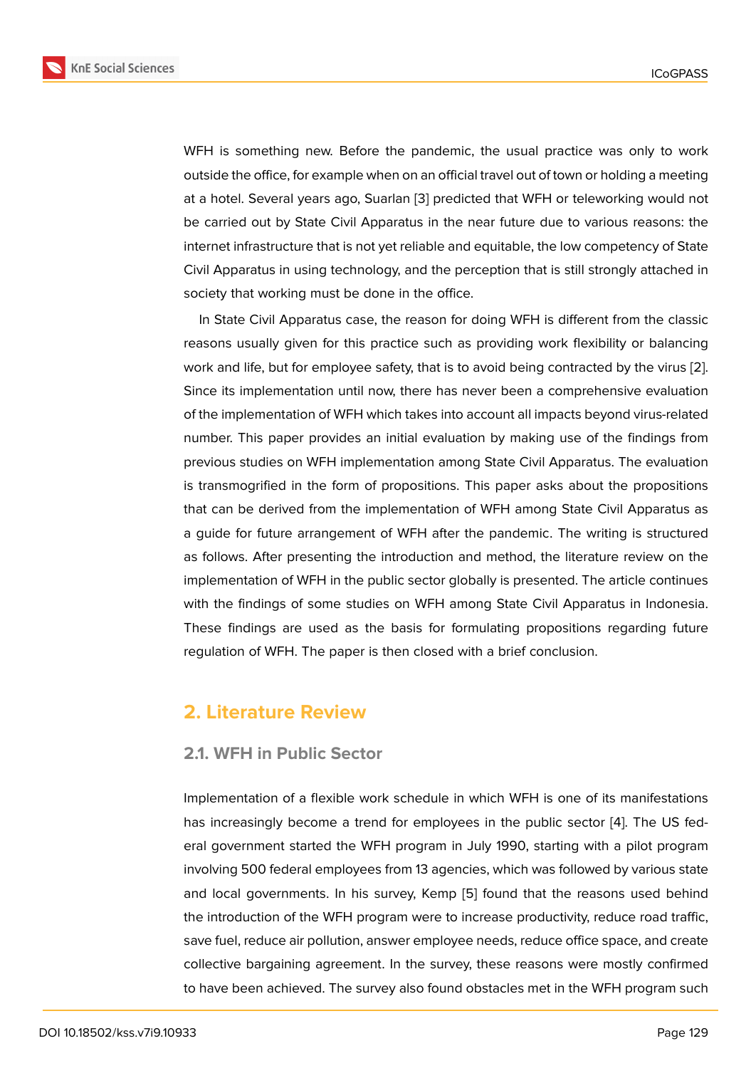WFH is something new. Before the pandemic, the usual practice was only to work outside the office, for example when on an official travel out of town or holding a meeting at a hotel. Several years ago, Suarlan [3] predicted that WFH or teleworking would not be carried out by State Civil Apparatus in the near future due to various reasons: the internet infrastructure that is not yet reliable and equitable, the low competency of State Civil Apparatus in using technology, a[nd](#page-12-1) the perception that is still strongly attached in society that working must be done in the office.

In State Civil Apparatus case, the reason for doing WFH is different from the classic reasons usually given for this practice such as providing work flexibility or balancing work and life, but for employee safety, that is to avoid being contracted by the virus [2]. Since its implementation until now, there has never been a comprehensive evaluation of the implementation of WFH which takes into account all impacts beyond virus-related number. This paper provides an initial evaluation by making use of the findings fr[om](#page-12-2) previous studies on WFH implementation among State Civil Apparatus. The evaluation is transmogrified in the form of propositions. This paper asks about the propositions that can be derived from the implementation of WFH among State Civil Apparatus as a guide for future arrangement of WFH after the pandemic. The writing is structured as follows. After presenting the introduction and method, the literature review on the implementation of WFH in the public sector globally is presented. The article continues with the findings of some studies on WFH among State Civil Apparatus in Indonesia. These findings are used as the basis for formulating propositions regarding future regulation of WFH. The paper is then closed with a brief conclusion.

### **2. Literature Review**

### **2.1. WFH in Public Sector**

Implementation of a flexible work schedule in which WFH is one of its manifestations has increasingly become a trend for employees in the public sector [4]. The US federal government started the WFH program in July 1990, starting with a pilot program involving 500 federal employees from 13 agencies, which was followed by various state and local governments. In his survey, Kemp [5] found that the reaso[ns](#page-12-3) used behind the introduction of the WFH program were to increase productivity, reduce road traffic, save fuel, reduce air pollution, answer employee needs, reduce office space, and create collective bargaining agreement. In the surve[y,](#page-12-4) these reasons were mostly confirmed to have been achieved. The survey also found obstacles met in the WFH program such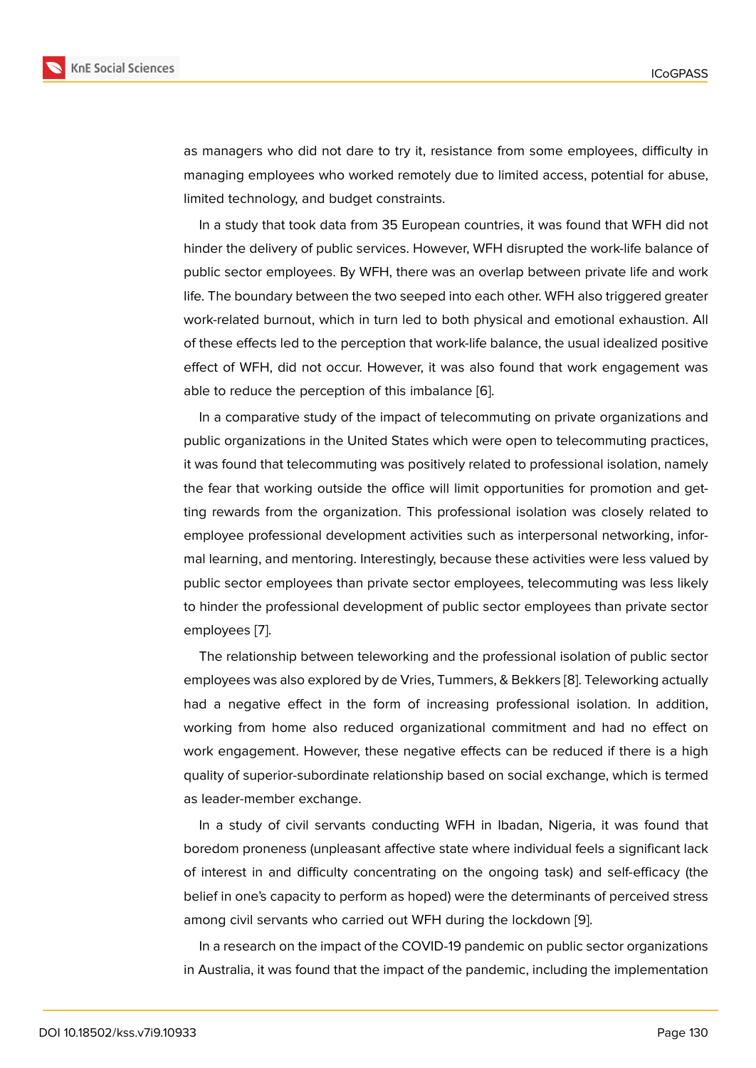as managers who did not dare to try it, resistance from some employees, difficulty in managing employees who worked remotely due to limited access, potential for abuse, limited technology, and budget constraints.

In a study that took data from 35 European countries, it was found that WFH did not hinder the delivery of public services. However, WFH disrupted the work-life balance of public sector employees. By WFH, there was an overlap between private life and work life. The boundary between the two seeped into each other. WFH also triggered greater work-related burnout, which in turn led to both physical and emotional exhaustion. All of these effects led to the perception that work-life balance, the usual idealized positive effect of WFH, did not occur. However, it was also found that work engagement was able to reduce the perception of this imbalance [6].

In a comparative study of the impact of telecommuting on private organizations and public organizations in the United States which were open to telecommuting practices, it was found that telecommuting was positively r[ela](#page-12-5)ted to professional isolation, namely the fear that working outside the office will limit opportunities for promotion and getting rewards from the organization. This professional isolation was closely related to employee professional development activities such as interpersonal networking, informal learning, and mentoring. Interestingly, because these activities were less valued by public sector employees than private sector employees, telecommuting was less likely to hinder the professional development of public sector employees than private sector employees [7].

The relationship between teleworking and the professional isolation of public sector employees was also explored by de Vries, Tummers, & Bekkers [8]. Teleworking actually had a neg[ati](#page-12-6)ve effect in the form of increasing professional isolation. In addition, working from home also reduced organizational commitment and had no effect on work engagement. However, these negative effects can be re[du](#page-12-7)ced if there is a high quality of superior-subordinate relationship based on social exchange, which is termed as leader-member exchange.

In a study of civil servants conducting WFH in Ibadan, Nigeria, it was found that boredom proneness (unpleasant affective state where individual feels a significant lack of interest in and difficulty concentrating on the ongoing task) and self-efficacy (the belief in one's capacity to perform as hoped) were the determinants of perceived stress among civil servants who carried out WFH during the lockdown [9].

In a research on the impact of the COVID-19 pandemic on public sector organizations in Australia, it was found that the impact of the pandemic, includi[ng](#page-12-8) the implementation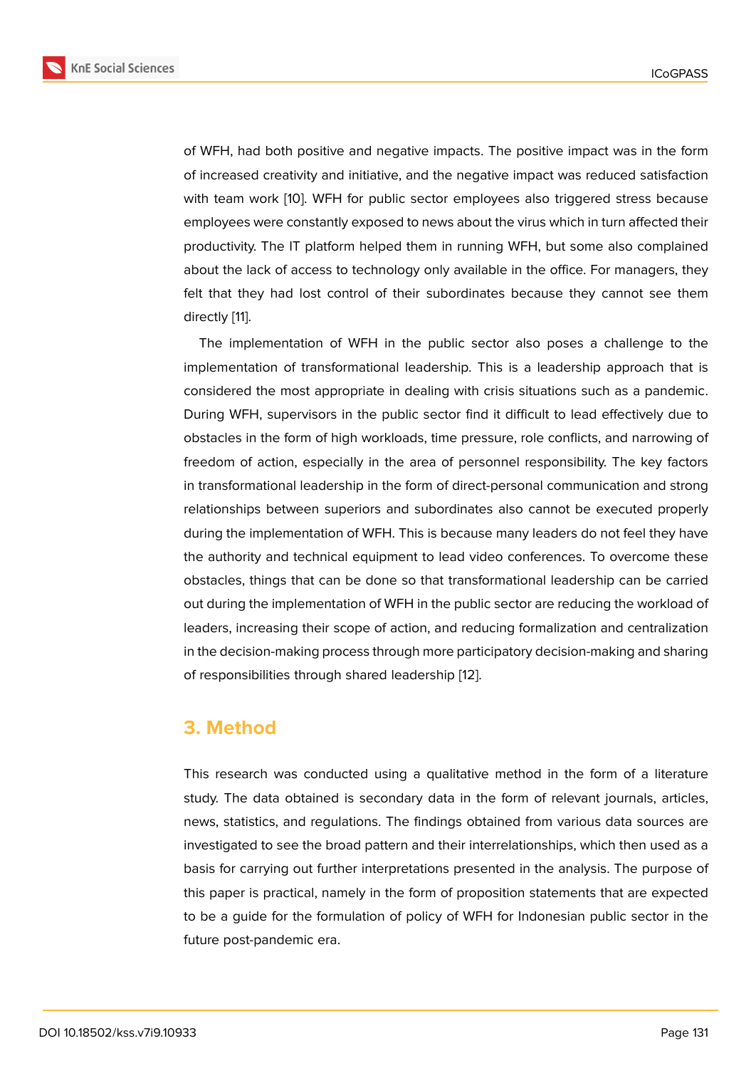of WFH, had both positive and negative impacts. The positive impact was in the form of increased creativity and initiative, and the negative impact was reduced satisfaction with team work [10]. WFH for public sector employees also triggered stress because employees were constantly exposed to news about the virus which in turn affected their productivity. The IT platform helped them in running WFH, but some also complained about the lack of [ac](#page-12-9)cess to technology only available in the office. For managers, they felt that they had lost control of their subordinates because they cannot see them directly [11].

The implementation of WFH in the public sector also poses a challenge to the implementation of transformational leadership. This is a leadership approach that is conside[red](#page-13-0) the most appropriate in dealing with crisis situations such as a pandemic. During WFH, supervisors in the public sector find it difficult to lead effectively due to obstacles in the form of high workloads, time pressure, role conflicts, and narrowing of freedom of action, especially in the area of personnel responsibility. The key factors in transformational leadership in the form of direct-personal communication and strong relationships between superiors and subordinates also cannot be executed properly during the implementation of WFH. This is because many leaders do not feel they have the authority and technical equipment to lead video conferences. To overcome these obstacles, things that can be done so that transformational leadership can be carried out during the implementation of WFH in the public sector are reducing the workload of leaders, increasing their scope of action, and reducing formalization and centralization in the decision-making process through more participatory decision-making and sharing of responsibilities through shared leadership [12].

## **3. Method**

This research was conducted using a qualitative method in the form of a literature study. The data obtained is secondary data in the form of relevant journals, articles, news, statistics, and regulations. The findings obtained from various data sources are investigated to see the broad pattern and their interrelationships, which then used as a basis for carrying out further interpretations presented in the analysis. The purpose of this paper is practical, namely in the form of proposition statements that are expected to be a guide for the formulation of policy of WFH for Indonesian public sector in the future post-pandemic era.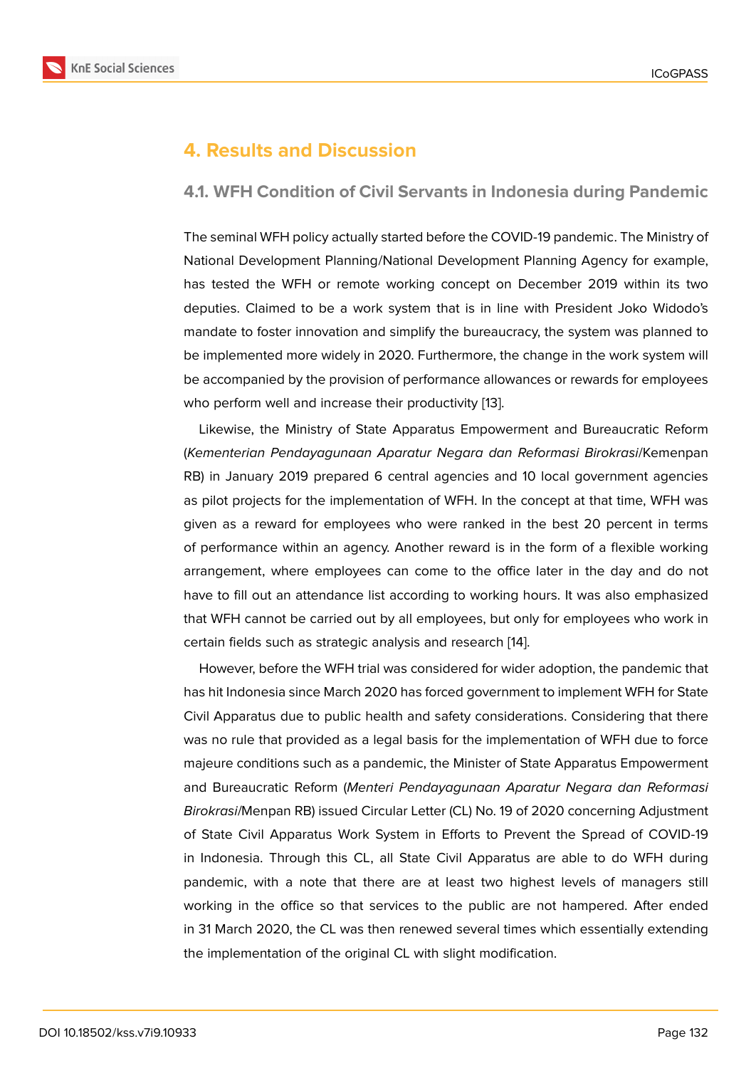# **4. Results and Discussion**

### **4.1. WFH Condition of Civil Servants in Indonesia during Pandemic**

The seminal WFH policy actually started before the COVID-19 pandemic. The Ministry of National Development Planning/National Development Planning Agency for example, has tested the WFH or remote working concept on December 2019 within its two deputies. Claimed to be a work system that is in line with President Joko Widodo's mandate to foster innovation and simplify the bureaucracy, the system was planned to be implemented more widely in 2020. Furthermore, the change in the work system will be accompanied by the provision of performance allowances or rewards for employees who perform well and increase their productivity [13].

Likewise, the Ministry of State Apparatus Empowerment and Bureaucratic Reform (*Kementerian Pendayagunaan Aparatur Negara dan Reformasi Birokrasi*/Kemenpan RB) in January 2019 prepared 6 central agencie[s a](#page-13-1)nd 10 local government agencies as pilot projects for the implementation of WFH. In the concept at that time, WFH was given as a reward for employees who were ranked in the best 20 percent in terms of performance within an agency. Another reward is in the form of a flexible working arrangement, where employees can come to the office later in the day and do not have to fill out an attendance list according to working hours. It was also emphasized that WFH cannot be carried out by all employees, but only for employees who work in certain fields such as strategic analysis and research [14].

However, before the WFH trial was considered for wider adoption, the pandemic that has hit Indonesia since March 2020 has forced government to implement WFH for State Civil Apparatus due to public health and safety consi[der](#page-13-2)ations. Considering that there was no rule that provided as a legal basis for the implementation of WFH due to force majeure conditions such as a pandemic, the Minister of State Apparatus Empowerment and Bureaucratic Reform (*Menteri Pendayagunaan Aparatur Negara dan Reformasi Birokrasi*/Menpan RB) issued Circular Letter (CL) No. 19 of 2020 concerning Adjustment of State Civil Apparatus Work System in Efforts to Prevent the Spread of COVID-19 in Indonesia. Through this CL, all State Civil Apparatus are able to do WFH during pandemic, with a note that there are at least two highest levels of managers still working in the office so that services to the public are not hampered. After ended in 31 March 2020, the CL was then renewed several times which essentially extending the implementation of the original CL with slight modification.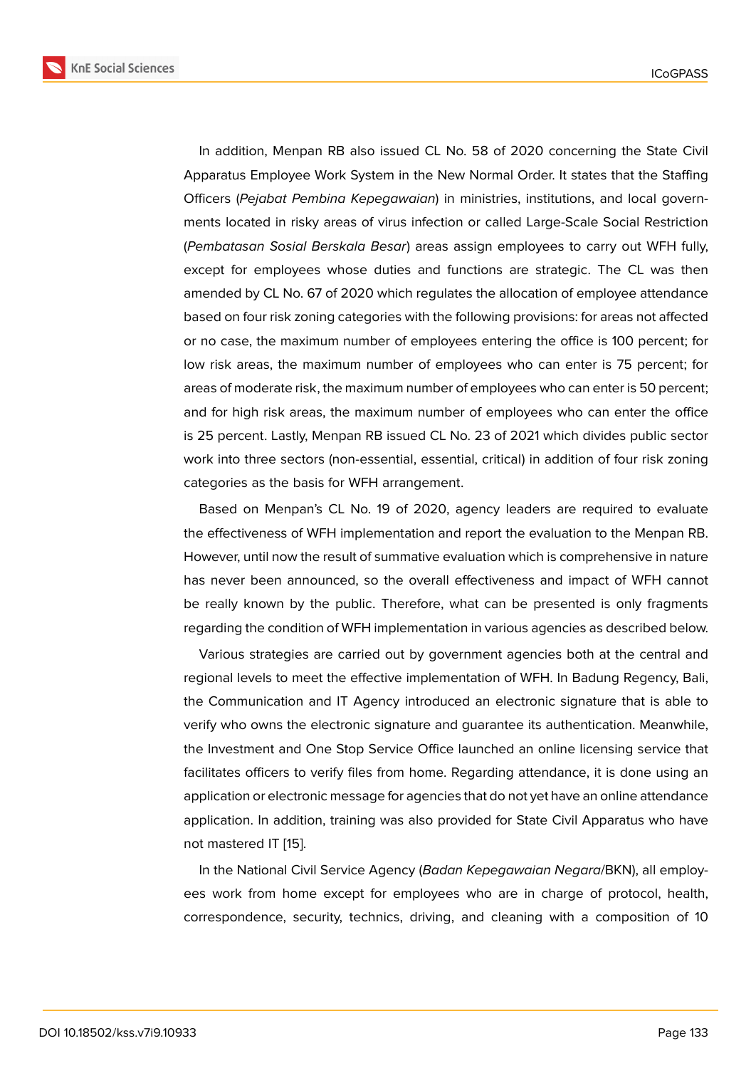In addition, Menpan RB also issued CL No. 58 of 2020 concerning the State Civil Apparatus Employee Work System in the New Normal Order. It states that the Staffing Officers (*Pejabat Pembina Kepegawaian*) in ministries, institutions, and local governments located in risky areas of virus infection or called Large-Scale Social Restriction (*Pembatasan Sosial Berskala Besar*) areas assign employees to carry out WFH fully, except for employees whose duties and functions are strategic. The CL was then amended by CL No. 67 of 2020 which regulates the allocation of employee attendance based on four risk zoning categories with the following provisions: for areas not affected or no case, the maximum number of employees entering the office is 100 percent; for low risk areas, the maximum number of employees who can enter is 75 percent; for areas of moderate risk, the maximum number of employees who can enter is 50 percent; and for high risk areas, the maximum number of employees who can enter the office is 25 percent. Lastly, Menpan RB issued CL No. 23 of 2021 which divides public sector work into three sectors (non-essential, essential, critical) in addition of four risk zoning categories as the basis for WFH arrangement.

Based on Menpan's CL No. 19 of 2020, agency leaders are required to evaluate the effectiveness of WFH implementation and report the evaluation to the Menpan RB. However, until now the result of summative evaluation which is comprehensive in nature has never been announced, so the overall effectiveness and impact of WFH cannot be really known by the public. Therefore, what can be presented is only fragments regarding the condition of WFH implementation in various agencies as described below.

Various strategies are carried out by government agencies both at the central and regional levels to meet the effective implementation of WFH. In Badung Regency, Bali, the Communication and IT Agency introduced an electronic signature that is able to verify who owns the electronic signature and guarantee its authentication. Meanwhile, the Investment and One Stop Service Office launched an online licensing service that facilitates officers to verify files from home. Regarding attendance, it is done using an application or electronic message for agencies that do not yet have an online attendance application. In addition, training was also provided for State Civil Apparatus who have not mastered IT [15].

In the National Civil Service Agency (*Badan Kepegawaian Negara*/BKN), all employees work from home except for employees who are in charge of protocol, health, correspondence, [s](#page-13-3)ecurity, technics, driving, and cleaning with a composition of 10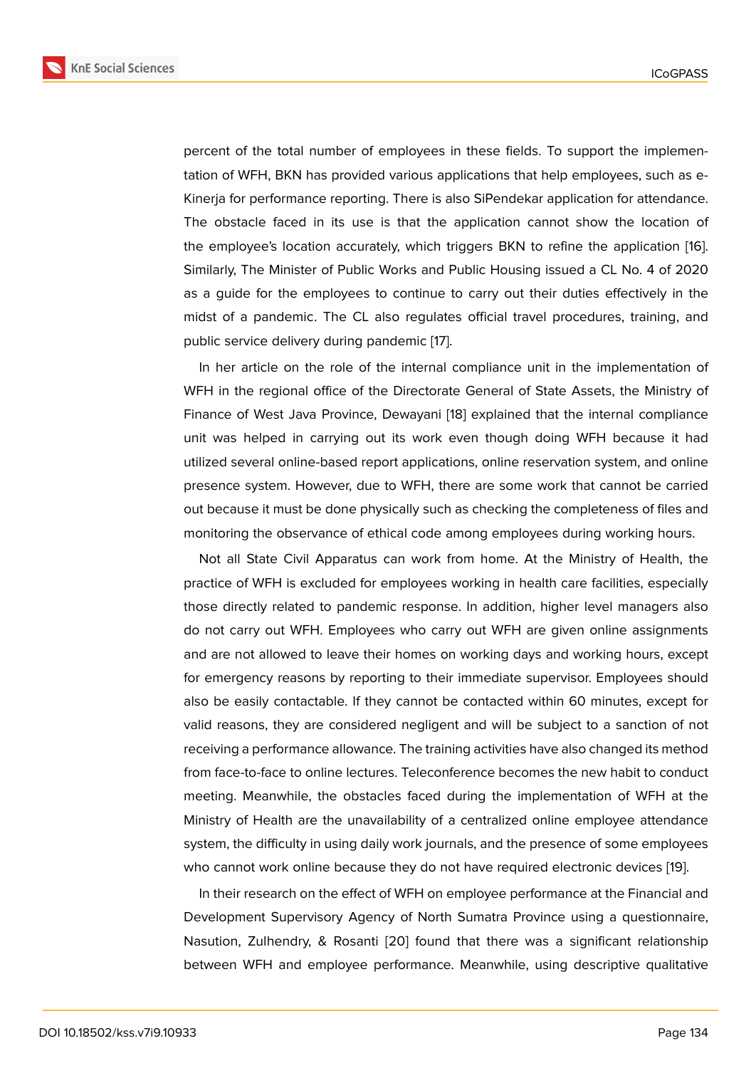percent of the total number of employees in these fields. To support the implementation of WFH, BKN has provided various applications that help employees, such as e-Kinerja for performance reporting. There is also SiPendekar application for attendance. The obstacle faced in its use is that the application cannot show the location of the employee's location accurately, which triggers BKN to refine the application [16]. Similarly, The Minister of Public Works and Public Housing issued a CL No. 4 of 2020 as a guide for the employees to continue to carry out their duties effectively in the midst of a pandemic. The CL also regulates official travel procedures, training, [and](#page-13-4) public service delivery during pandemic [17].

In her article on the role of the internal compliance unit in the implementation of WFH in the regional office of the Directorate General of State Assets, the Ministry of Finance of West Java Province, Dewaya[ni](#page-13-5) [18] explained that the internal compliance unit was helped in carrying out its work even though doing WFH because it had utilized several online-based report applications, online reservation system, and online presence system. However, due to WFH, t[here](#page-13-6) are some work that cannot be carried out because it must be done physically such as checking the completeness of files and monitoring the observance of ethical code among employees during working hours.

Not all State Civil Apparatus can work from home. At the Ministry of Health, the practice of WFH is excluded for employees working in health care facilities, especially those directly related to pandemic response. In addition, higher level managers also do not carry out WFH. Employees who carry out WFH are given online assignments and are not allowed to leave their homes on working days and working hours, except for emergency reasons by reporting to their immediate supervisor. Employees should also be easily contactable. If they cannot be contacted within 60 minutes, except for valid reasons, they are considered negligent and will be subject to a sanction of not receiving a performance allowance. The training activities have also changed its method from face-to-face to online lectures. Teleconference becomes the new habit to conduct meeting. Meanwhile, the obstacles faced during the implementation of WFH at the Ministry of Health are the unavailability of a centralized online employee attendance system, the difficulty in using daily work journals, and the presence of some employees who cannot work online because they do not have required electronic devices [19].

In their research on the effect of WFH on employee performance at the Financial and Development Supervisory Agency of North Sumatra Province using a questionnaire, Nasution, Zulhendry, & Rosanti [20] found that there was a significant relati[on](#page-13-7)ship between WFH and employee performance. Meanwhile, using descriptive qualitative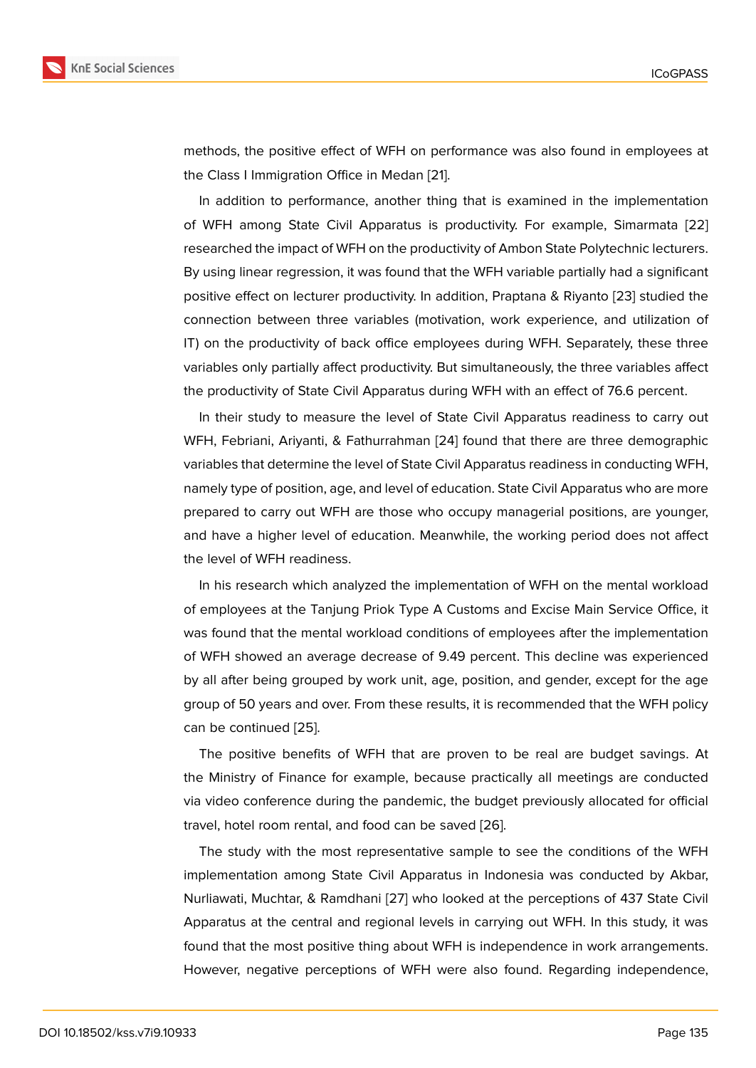methods, the positive effect of WFH on performance was also found in employees at the Class I Immigration Office in Medan [21].

In addition to performance, another thing that is examined in the implementation of WFH among State Civil Apparatus is productivity. For example, Simarmata [22] researched the impact of WFH on the pro[du](#page-13-8)ctivity of Ambon State Polytechnic lecturers. By using linear regression, it was found that the WFH variable partially had a significant positive effect on lecturer productivity. In addition, Praptana & Riyanto [23] studied [the](#page-14-0) connection between three variables (motivation, work experience, and utilization of IT) on the productivity of back office employees during WFH. Separately, these three variables only partially affect productivity. But simultaneously, the three [var](#page-14-1)iables affect the productivity of State Civil Apparatus during WFH with an effect of 76.6 percent.

In their study to measure the level of State Civil Apparatus readiness to carry out WFH, Febriani, Ariyanti, & Fathurrahman [24] found that there are three demographic variables that determine the level of State Civil Apparatus readiness in conducting WFH, namely type of position, age, and level of education. State Civil Apparatus who are more prepared to carry out WFH are those wh[o o](#page-14-2)ccupy managerial positions, are younger, and have a higher level of education. Meanwhile, the working period does not affect the level of WFH readiness.

In his research which analyzed the implementation of WFH on the mental workload of employees at the Tanjung Priok Type A Customs and Excise Main Service Office, it was found that the mental workload conditions of employees after the implementation of WFH showed an average decrease of 9.49 percent. This decline was experienced by all after being grouped by work unit, age, position, and gender, except for the age group of 50 years and over. From these results, it is recommended that the WFH policy can be continued [25].

The positive benefits of WFH that are proven to be real are budget savings. At the Ministry of Finance for example, because practically all meetings are conducted via video confere[nce](#page-14-3) during the pandemic, the budget previously allocated for official travel, hotel room rental, and food can be saved [26].

The study with the most representative sample to see the conditions of the WFH implementation among State Civil Apparatus in Indonesia was conducted by Akbar, Nurliawati, Muchtar, & Ramdhani [27] who looke[d at](#page-14-4) the perceptions of 437 State Civil Apparatus at the central and regional levels in carrying out WFH. In this study, it was found that the most positive thing about WFH is independence in work arrangements. However, negative perceptions [of W](#page-14-5)FH were also found. Regarding independence,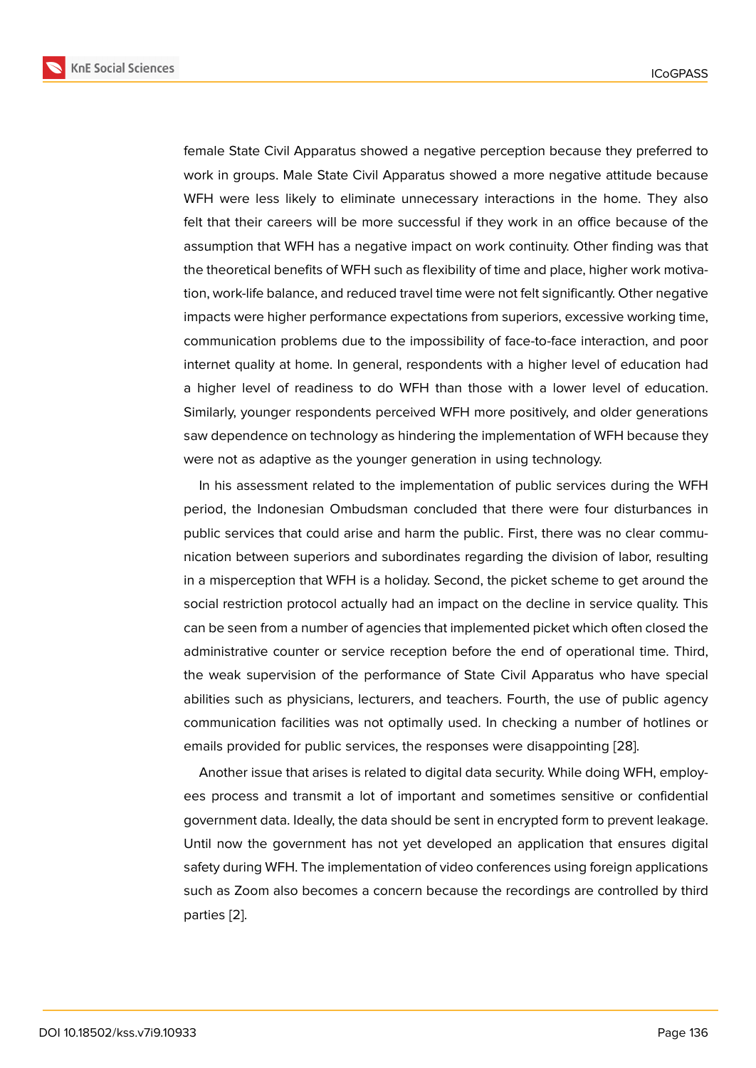female State Civil Apparatus showed a negative perception because they preferred to work in groups. Male State Civil Apparatus showed a more negative attitude because WFH were less likely to eliminate unnecessary interactions in the home. They also felt that their careers will be more successful if they work in an office because of the assumption that WFH has a negative impact on work continuity. Other finding was that the theoretical benefits of WFH such as flexibility of time and place, higher work motivation, work-life balance, and reduced travel time were not felt significantly. Other negative impacts were higher performance expectations from superiors, excessive working time, communication problems due to the impossibility of face-to-face interaction, and poor internet quality at home. In general, respondents with a higher level of education had a higher level of readiness to do WFH than those with a lower level of education. Similarly, younger respondents perceived WFH more positively, and older generations saw dependence on technology as hindering the implementation of WFH because they were not as adaptive as the younger generation in using technology.

In his assessment related to the implementation of public services during the WFH period, the Indonesian Ombudsman concluded that there were four disturbances in public services that could arise and harm the public. First, there was no clear communication between superiors and subordinates regarding the division of labor, resulting in a misperception that WFH is a holiday. Second, the picket scheme to get around the social restriction protocol actually had an impact on the decline in service quality. This can be seen from a number of agencies that implemented picket which often closed the administrative counter or service reception before the end of operational time. Third, the weak supervision of the performance of State Civil Apparatus who have special abilities such as physicians, lecturers, and teachers. Fourth, the use of public agency communication facilities was not optimally used. In checking a number of hotlines or emails provided for public services, the responses were disappointing [28].

Another issue that arises is related to digital data security. While doing WFH, employees process and transmit a lot of important and sometimes sensitive or confidential government data. Ideally, the data should be sent in encrypted form to p[rev](#page-14-6)ent leakage. Until now the government has not yet developed an application that ensures digital safety during WFH. The implementation of video conferences using foreign applications such as Zoom also becomes a concern because the recordings are controlled by third parties [2].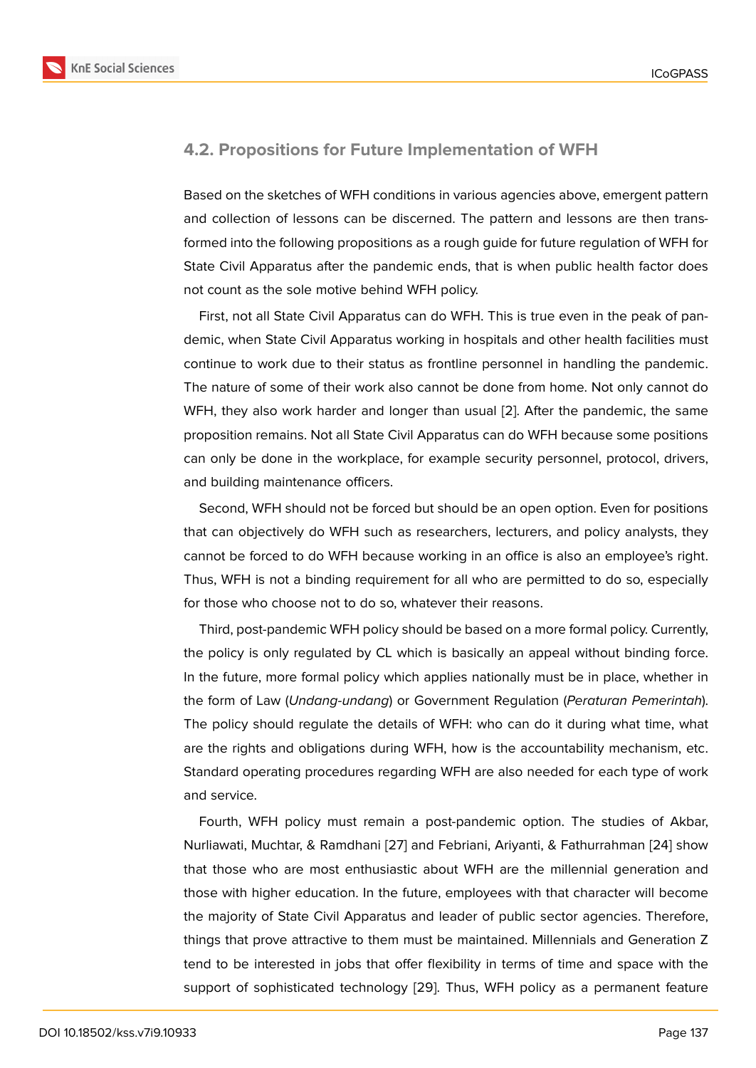### **4.2. Propositions for Future Implementation of WFH**

Based on the sketches of WFH conditions in various agencies above, emergent pattern and collection of lessons can be discerned. The pattern and lessons are then transformed into the following propositions as a rough guide for future regulation of WFH for State Civil Apparatus after the pandemic ends, that is when public health factor does not count as the sole motive behind WFH policy.

First, not all State Civil Apparatus can do WFH. This is true even in the peak of pandemic, when State Civil Apparatus working in hospitals and other health facilities must continue to work due to their status as frontline personnel in handling the pandemic. The nature of some of their work also cannot be done from home. Not only cannot do WFH, they also work harder and longer than usual [2]. After the pandemic, the same proposition remains. Not all State Civil Apparatus can do WFH because some positions can only be done in the workplace, for example security personnel, protocol, drivers, and building maintenance officers.

Second, WFH should not be forced but should be an open option. Even for positions that can objectively do WFH such as researchers, lecturers, and policy analysts, they cannot be forced to do WFH because working in an office is also an employee's right. Thus, WFH is not a binding requirement for all who are permitted to do so, especially for those who choose not to do so, whatever their reasons.

Third, post-pandemic WFH policy should be based on a more formal policy. Currently, the policy is only regulated by CL which is basically an appeal without binding force. In the future, more formal policy which applies nationally must be in place, whether in the form of Law (*Undang-undang*) or Government Regulation (*Peraturan Pemerintah*). The policy should regulate the details of WFH: who can do it during what time, what are the rights and obligations during WFH, how is the accountability mechanism, etc. Standard operating procedures regarding WFH are also needed for each type of work and service.

Fourth, WFH policy must remain a post-pandemic option. The studies of Akbar, Nurliawati, Muchtar, & Ramdhani [27] and Febriani, Ariyanti, & Fathurrahman [24] show that those who are most enthusiastic about WFH are the millennial generation and those with higher education. In the future, employees with that character will become the majority of State Civil Appar[atus](#page-14-5) and leader of public sector agencies. [The](#page-14-2)refore, things that prove attractive to them must be maintained. Millennials and Generation Z tend to be interested in jobs that offer flexibility in terms of time and space with the support of sophisticated technology [29]. Thus, WFH policy as a permanent feature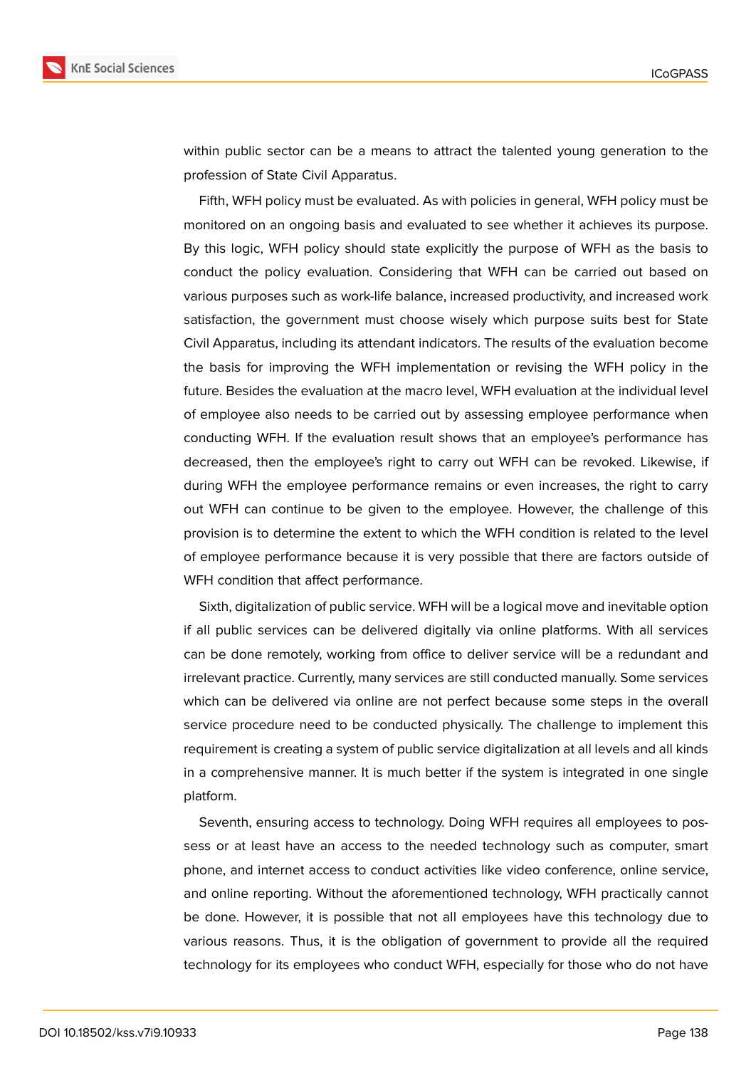

within public sector can be a means to attract the talented young generation to the profession of State Civil Apparatus.

Fifth, WFH policy must be evaluated. As with policies in general, WFH policy must be monitored on an ongoing basis and evaluated to see whether it achieves its purpose. By this logic, WFH policy should state explicitly the purpose of WFH as the basis to conduct the policy evaluation. Considering that WFH can be carried out based on various purposes such as work-life balance, increased productivity, and increased work satisfaction, the government must choose wisely which purpose suits best for State Civil Apparatus, including its attendant indicators. The results of the evaluation become the basis for improving the WFH implementation or revising the WFH policy in the future. Besides the evaluation at the macro level, WFH evaluation at the individual level of employee also needs to be carried out by assessing employee performance when conducting WFH. If the evaluation result shows that an employee's performance has decreased, then the employee's right to carry out WFH can be revoked. Likewise, if during WFH the employee performance remains or even increases, the right to carry out WFH can continue to be given to the employee. However, the challenge of this provision is to determine the extent to which the WFH condition is related to the level of employee performance because it is very possible that there are factors outside of WFH condition that affect performance.

Sixth, digitalization of public service. WFH will be a logical move and inevitable option if all public services can be delivered digitally via online platforms. With all services can be done remotely, working from office to deliver service will be a redundant and irrelevant practice. Currently, many services are still conducted manually. Some services which can be delivered via online are not perfect because some steps in the overall service procedure need to be conducted physically. The challenge to implement this requirement is creating a system of public service digitalization at all levels and all kinds in a comprehensive manner. It is much better if the system is integrated in one single platform.

Seventh, ensuring access to technology. Doing WFH requires all employees to possess or at least have an access to the needed technology such as computer, smart phone, and internet access to conduct activities like video conference, online service, and online reporting. Without the aforementioned technology, WFH practically cannot be done. However, it is possible that not all employees have this technology due to various reasons. Thus, it is the obligation of government to provide all the required technology for its employees who conduct WFH, especially for those who do not have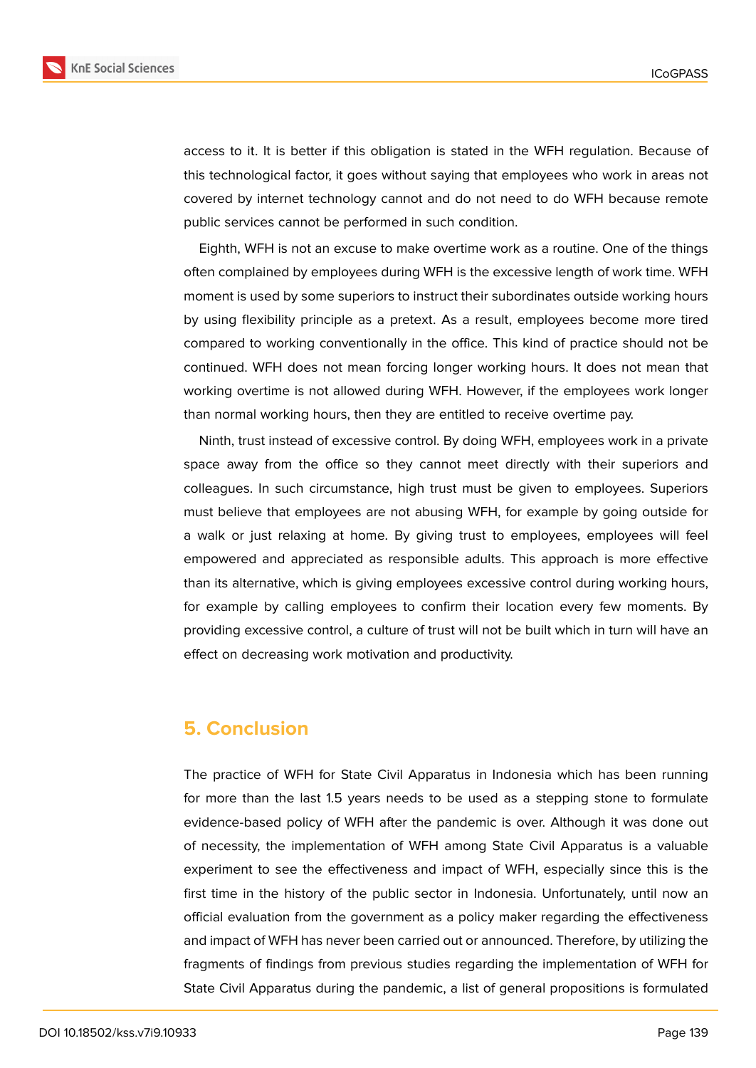

access to it. It is better if this obligation is stated in the WFH regulation. Because of this technological factor, it goes without saying that employees who work in areas not covered by internet technology cannot and do not need to do WFH because remote public services cannot be performed in such condition.

Eighth, WFH is not an excuse to make overtime work as a routine. One of the things often complained by employees during WFH is the excessive length of work time. WFH moment is used by some superiors to instruct their subordinates outside working hours by using flexibility principle as a pretext. As a result, employees become more tired compared to working conventionally in the office. This kind of practice should not be continued. WFH does not mean forcing longer working hours. It does not mean that working overtime is not allowed during WFH. However, if the employees work longer than normal working hours, then they are entitled to receive overtime pay.

Ninth, trust instead of excessive control. By doing WFH, employees work in a private space away from the office so they cannot meet directly with their superiors and colleagues. In such circumstance, high trust must be given to employees. Superiors must believe that employees are not abusing WFH, for example by going outside for a walk or just relaxing at home. By giving trust to employees, employees will feel empowered and appreciated as responsible adults. This approach is more effective than its alternative, which is giving employees excessive control during working hours, for example by calling employees to confirm their location every few moments. By providing excessive control, a culture of trust will not be built which in turn will have an effect on decreasing work motivation and productivity.

# **5. Conclusion**

The practice of WFH for State Civil Apparatus in Indonesia which has been running for more than the last 1.5 years needs to be used as a stepping stone to formulate evidence-based policy of WFH after the pandemic is over. Although it was done out of necessity, the implementation of WFH among State Civil Apparatus is a valuable experiment to see the effectiveness and impact of WFH, especially since this is the first time in the history of the public sector in Indonesia. Unfortunately, until now an official evaluation from the government as a policy maker regarding the effectiveness and impact of WFH has never been carried out or announced. Therefore, by utilizing the fragments of findings from previous studies regarding the implementation of WFH for State Civil Apparatus during the pandemic, a list of general propositions is formulated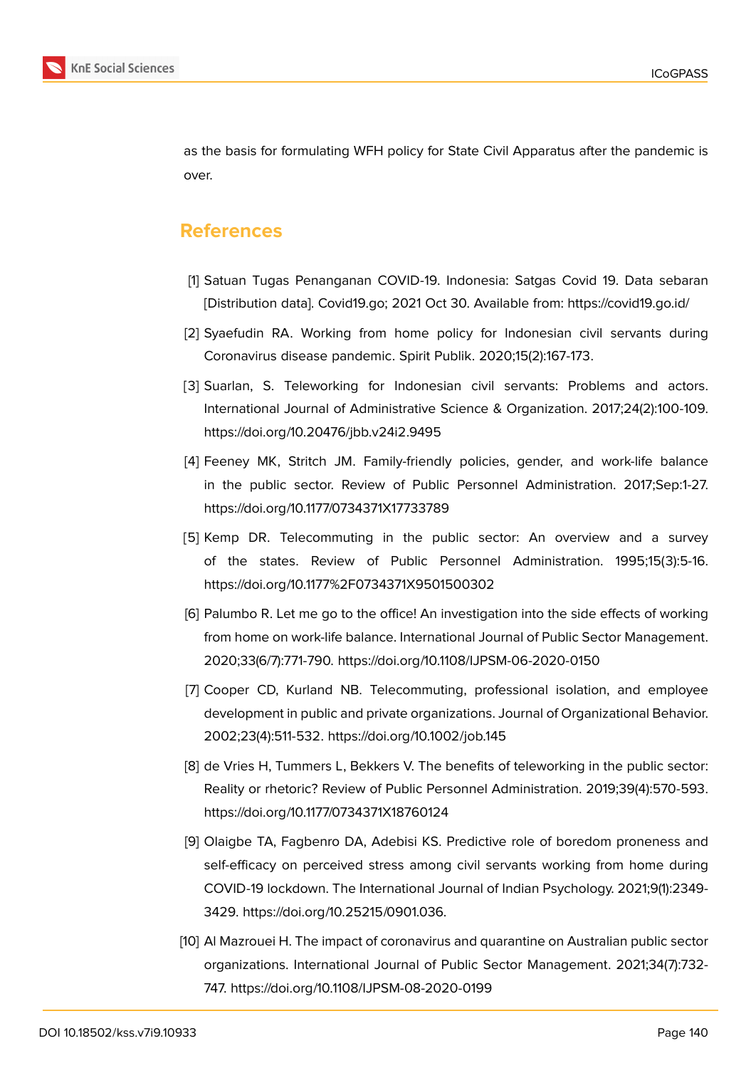

as the basis for formulating WFH policy for State Civil Apparatus after the pandemic is over.

# **References**

- <span id="page-12-0"></span>[1] Satuan Tugas Penanganan COVID-19. Indonesia: Satgas Covid 19. Data sebaran [Distribution data]. Covid19.go; 2021 Oct 30. Available from: https://covid19.go.id/
- <span id="page-12-2"></span>[2] Syaefudin RA. Working from home policy for Indonesian civil servants during Coronavirus disease pandemic. Spirit Publik. 2020;15(2):167-173.
- <span id="page-12-1"></span>[3] Suarlan, S. Teleworking for Indonesian civil servants: Problems and actors. International Journal of Administrative Science & Organization. 2017;24(2):100-109. https://doi.org/10.20476/jbb.v24i2.9495
- <span id="page-12-3"></span>[4] Feeney MK, Stritch JM. Family-friendly policies, gender, and work-life balance in the public sector. Review of Public Personnel Administration. 2017;Sep:1-27. https://doi.org/10.1177/0734371X17733789
- <span id="page-12-4"></span>[5] Kemp DR. Telecommuting in the public sector: An overview and a survey of the states. Review of Public Personnel Administration. 1995;15(3):5-16. https://doi.org/10.1177%2F0734371X9501500302
- <span id="page-12-5"></span>[6] Palumbo R. Let me go to the office! An investigation into the side effects of working from home on work-life balance. International Journal of Public Sector Management. 2020;33(6/7):771-790. https://doi.org/10.1108/IJPSM-06-2020-0150
- <span id="page-12-6"></span>[7] Cooper CD, Kurland NB. Telecommuting, professional isolation, and employee development in public and private organizations. Journal of Organizational Behavior. 2002;23(4):511-532. https://doi.org/10.1002/job.145
- <span id="page-12-7"></span>[8] de Vries H, Tummers L, Bekkers V. The benefits of teleworking in the public sector: Reality or rhetoric? Review of Public Personnel Administration. 2019;39(4):570-593. https://doi.org/10.1177/0734371X18760124
- <span id="page-12-8"></span>[9] Olaigbe TA, Fagbenro DA, Adebisi KS. Predictive role of boredom proneness and self-efficacy on perceived stress among civil servants working from home during COVID-19 lockdown. The International Journal of Indian Psychology. 2021;9(1):2349- 3429. https://doi.org/10.25215/0901.036.
- <span id="page-12-9"></span>[10] Al Mazrouei H. The impact of coronavirus and quarantine on Australian public sector organizations. International Journal of Public Sector Management. 2021;34(7):732- 747. https://doi.org/10.1108/IJPSM-08-2020-0199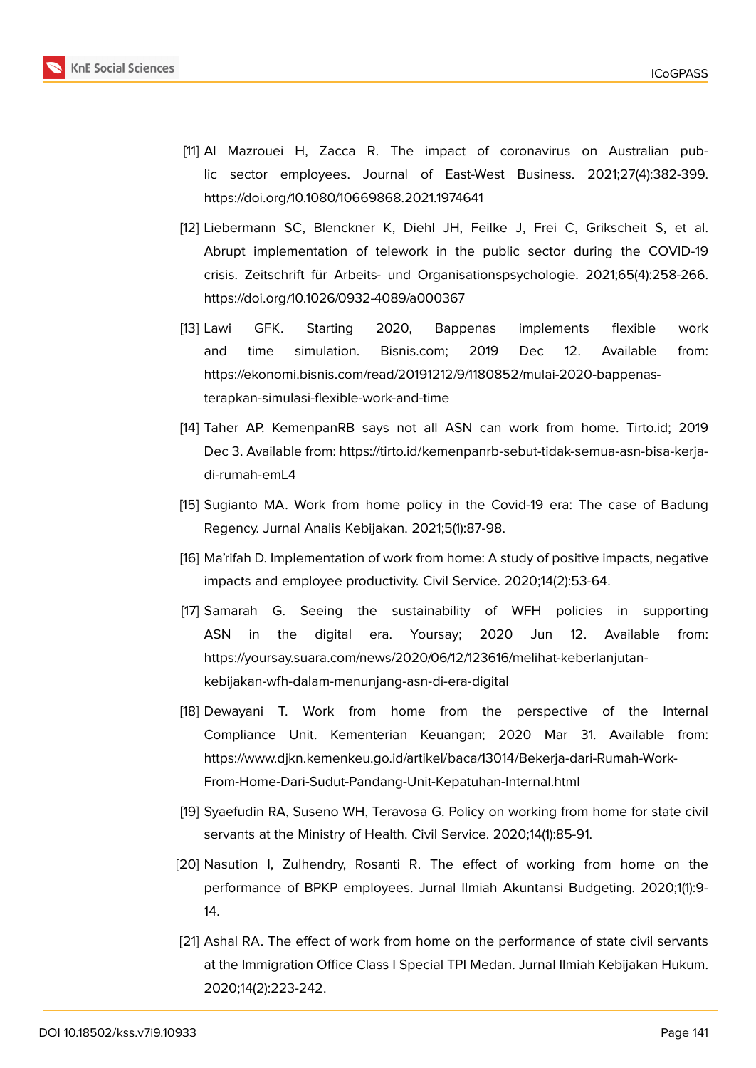

- <span id="page-13-0"></span>[11] Al Mazrouei H, Zacca R. The impact of coronavirus on Australian public sector employees. Journal of East-West Business. 2021;27(4):382-399. https://doi.org/10.1080/10669868.2021.1974641
- [12] Liebermann SC, Blenckner K, Diehl JH, Feilke J, Frei C, Grikscheit S, et al. Abrupt implementation of telework in the public sector during the COVID-19 crisis. Zeitschrift für Arbeits- und Organisationspsychologie. 2021;65(4):258-266. https://doi.org/10.1026/0932-4089/a000367
- <span id="page-13-1"></span>[13] Lawi GFK. Starting 2020, Bappenas implements flexible work and time simulation. Bisnis.com; 2019 Dec 12. Available from: https://ekonomi.bisnis.com/read/20191212/9/1180852/mulai-2020-bappenasterapkan-simulasi-flexible-work-and-time
- <span id="page-13-2"></span>[14] Taher AP. KemenpanRB says not all ASN can work from home. Tirto.id; 2019 Dec 3. Available from: https://tirto.id/kemenpanrb-sebut-tidak-semua-asn-bisa-kerjadi-rumah-emL4
- <span id="page-13-3"></span>[15] Sugianto MA. Work from home policy in the Covid-19 era: The case of Badung Regency. Jurnal Analis Kebijakan. 2021;5(1):87-98.
- <span id="page-13-4"></span>[16] Ma'rifah D. Implementation of work from home: A study of positive impacts, negative impacts and employee productivity. Civil Service. 2020;14(2):53-64.
- <span id="page-13-5"></span>[17] Samarah G. Seeing the sustainability of WFH policies in supporting ASN in the digital era. Yoursay; 2020 Jun 12. Available from: https://yoursay.suara.com/news/2020/06/12/123616/melihat-keberlanjutankebijakan-wfh-dalam-menunjang-asn-di-era-digital
- <span id="page-13-6"></span>[18] Dewayani T. Work from home from the perspective of the Internal Compliance Unit. Kementerian Keuangan; 2020 Mar 31. Available from: https://www.djkn.kemenkeu.go.id/artikel/baca/13014/Bekerja-dari-Rumah-Work-From-Home-Dari-Sudut-Pandang-Unit-Kepatuhan-Internal.html
- <span id="page-13-7"></span>[19] Syaefudin RA, Suseno WH, Teravosa G. Policy on working from home for state civil servants at the Ministry of Health. Civil Service. 2020;14(1):85-91.
- [20] Nasution I, Zulhendry, Rosanti R. The effect of working from home on the performance of BPKP employees. Jurnal Ilmiah Akuntansi Budgeting. 2020;1(1):9- 14.
- <span id="page-13-8"></span>[21] Ashal RA. The effect of work from home on the performance of state civil servants at the Immigration Office Class I Special TPI Medan. Jurnal Ilmiah Kebijakan Hukum. 2020;14(2):223-242.